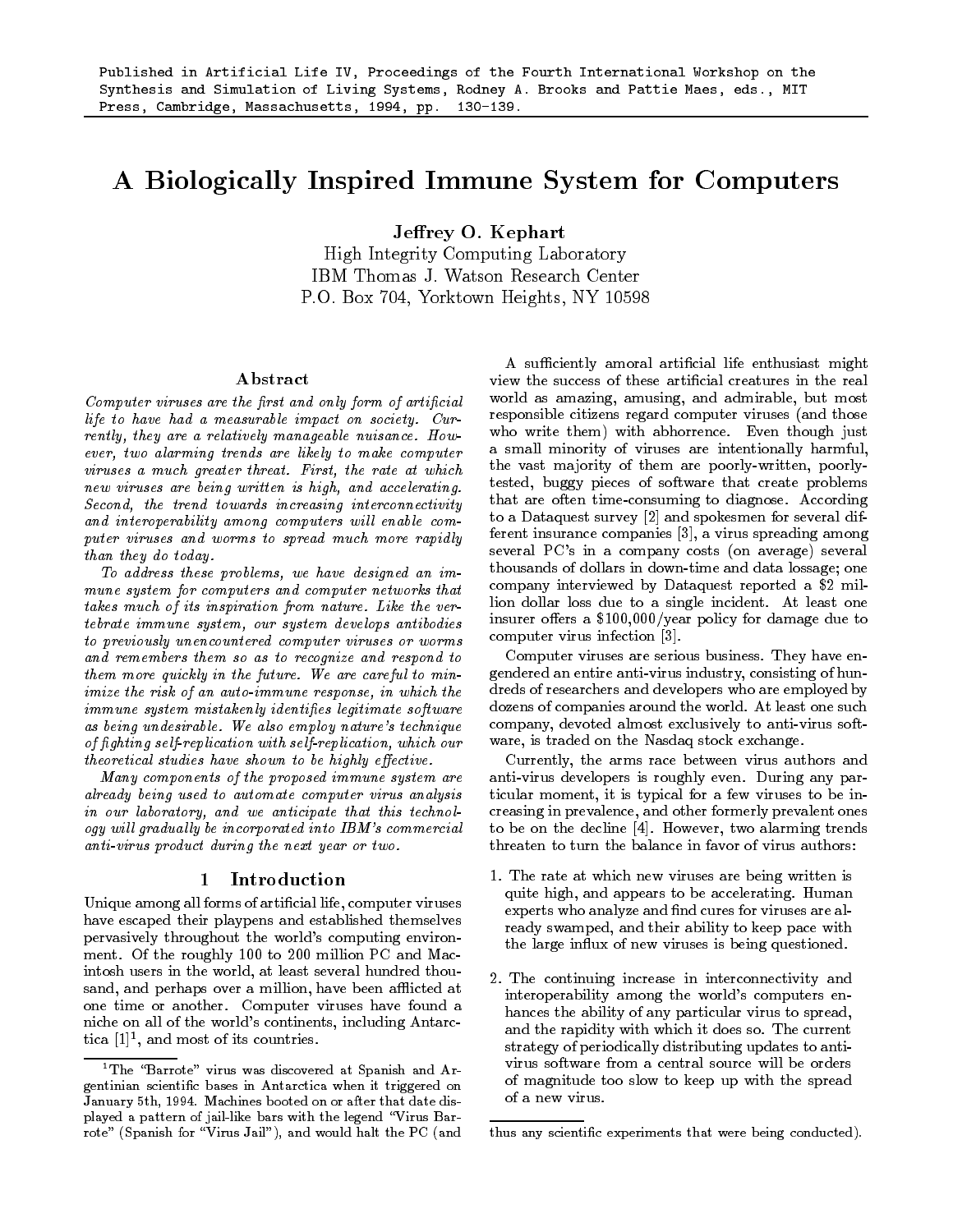## A Biologically Inspired Immune System for Computers

Jerey O- Kephart

High Integrity Computing LaboratoryIBM Thomas J. Watson Research Center I .V. DOA TUT TUINGUWH HUIPHG, IVI TUGJO

Computer viruses are the first and only form of artificial life to had a measurable impact on society  $\mathcal{C}$  and society-form  $\mathcal{C}$ rently, his y are a rendering meaningeable numerative and a ever, two alarming trends are likely to make computer viruste a ministry greater threater = 11 p.m. rate at ministry new viruses are being written is high, and accelerating. Second, the trend towards increasing interconnectivity and interoperability among computers will enable computer viruses and worms to spread much more rapidly than they do today.

To address these problems, we have designed an immune system for computers and computer networks that takes much of its inspiration from nature- Like the ver tebrate immune system our system develops antibodies to previously unencountered computer viruses or worms and remembers them so as to recognize and respond to the more quickly in the future-  $\mathcal{U}$  in the future-  $\mathcal{U}$ imize the risk of an auto-immune response, in which the immune system mistakenly identifies legitimate software as being undesirable- We also employ natures technique of fighting self-replication with self-replication, which our theoretical studies have shown to be highly effective.

Many components of the proposed immune system are already being used to automate computer virus analysis in our laboratory, and we anticipate that this technology will gradually be incorporated into  $IBM$ 's commercial anti-virus product during the next year or two.

### Introduction

Unique among all forms of articial life- computer viruses have escaped their playpens and established themselves pervasively throughout the world's computing environment. Of the roughly  $100$  to  $200$  million PC and Macintosh users in the world-world-distribution in the worldsand-been and perhaps over a million-been ability over a million-been ability of the perhaps of the perhaps of one time or another. Computer viruses have found a niche on all of the worlds continents-worlds continents-worlds continents-worlds continents-worlds continentstica  $\vert\,\!\vert\,\!\vert^{\text{-}}$ , and most of its countries.

A sufficiently amoral artificial life enthusiast might view the success of these artificial creatures in the real world as and and and admirable-servers and admirableresponsible citizens regard computer viruses (and those who write them) with abhorrence. Even though just a small minority of viruses are intentionally harmful, the vast majority of the vast majority of the vast majority of the value of the value of the value of the value of the value of the value of the value of the value of the value of the value of the value of the value of the tested- buggy pieces of software that create problems that are often time-consuming to diagnose. According to a Dataquest survey and spokesmen for several different survey of several different survey of several different ferent insurance companies - a virus spreading among several PC's in a company costs (on average) several thousands of dollars in down-time and data lossage; one company interviewed by Dataquest reported a \$2 million dollar loss due to a single incident. At least one insurer oers a -year policy for damage due to computer virus infections in provided and a computer of the computation of the computation of the computation of the computation of the computation of the computation of the computation of the computation of the computatio

Computer viruses are serious business. They have engendered and entire and entire and the second of hunger of hungers and the second dreds of researchers and developers who are employed by dozens of companies around the world. At least one such company-devoted almost exclusively to anti-virus software almost exclusively to anti-virus software software s ware-traded on the Nasdaq stock exchange on the Nasdaq stock exchange of the Nasdaq stock exchange of the Nasd

Currently- the arms race between virus authors and anti-virus developers is roughly even. During any particular moment-be in the few viruses to be interesting to be interesting to be interesting to be interesting t creasing in prevalence-between the creasing in prevalence-between the creasing prevalence-between the creasing ones of the creation of the creation of the creation of the creation of the creation of the creation of the cre to be on the decline  $\vert$  of the decline  $\vert$  the decline  $\vert$  to all  $\vert$ threaten to turn the balance in favor of virus authors

- 1. The rate at which new viruses are being written is  $\mathbf{h}$  and appears to be accelerating Human storage acceleration  $\mathbf{h}$  and appears to be accelerating Human storage acceleration of  $\mathbf{h}$ experts who analyze and find cures for viruses are already swamped- and their ability to keep pace with the large influx of new viruses is being questioned.
- 2. The continuing increase in interconnectivity and interoperability among the world's computers enhances the ability of any particular virus to spread, and the rapidity with which it does so. The current strategy of periodically distributing updates to anti virus software from a central source will be orders of magnitude too slow to keep up with the spread of a new virus

<sup>&</sup>quot;The "Barrote" virus was discovered at Spanish and Argentinian scientific bases in Antarctica when it triggered on January they client content on or after the content that content the content of the content of the content of the content of the content of the content of the content of the content of the content of the content of the con played a pattern of jail-like bars with the legend "Virus Barrote-produced for and the productions which the PC products

thus any scientific experiments that were being conducted).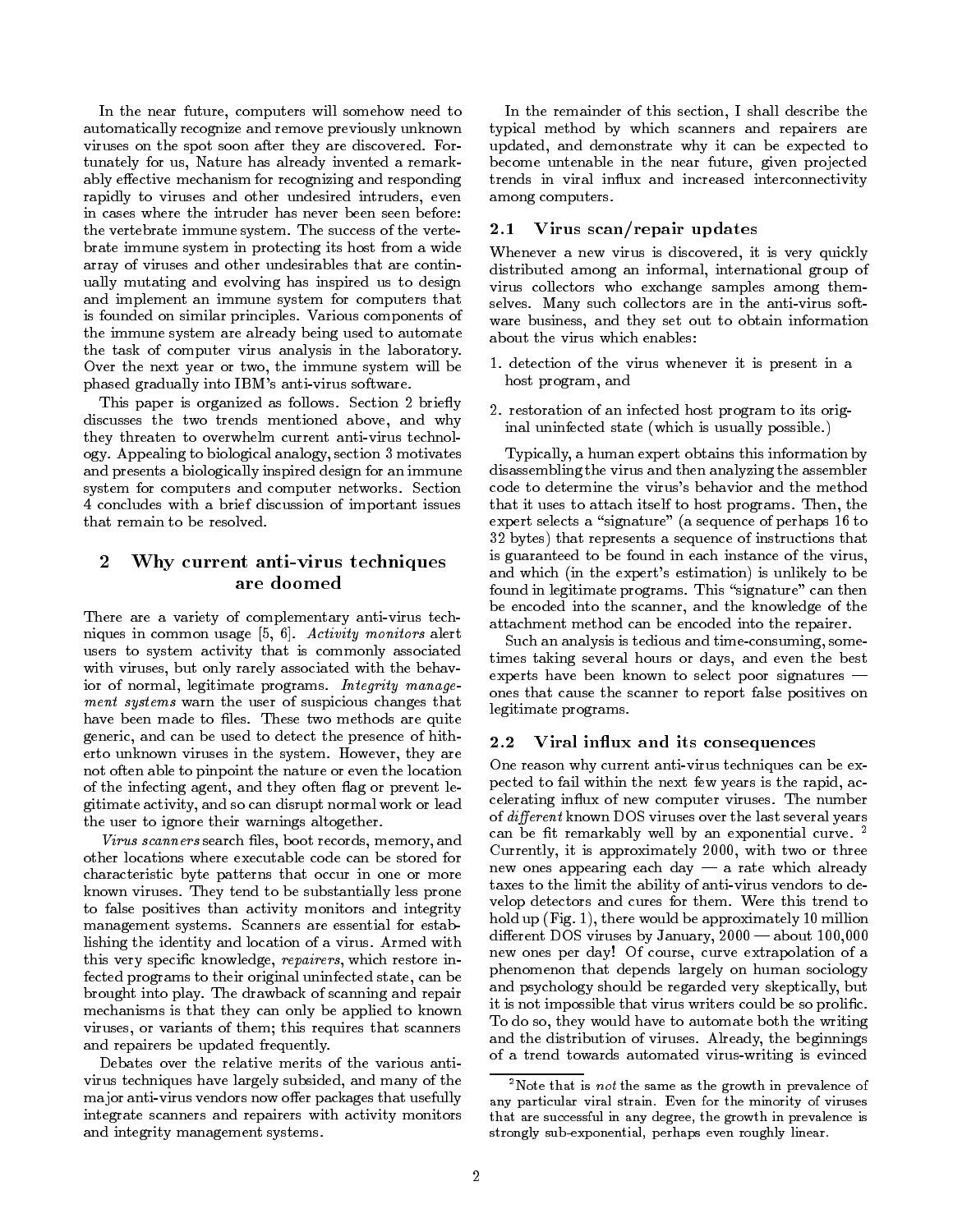In the near future- computers will somehow need to automatically recognize and remove previously unknown viruses on the spot soon after they are discovered. Fortunately for us- Nature has already invented a remark ably effective mechanism for recognizing and responding rapidly to viruses and other undesired intruders- even in cases where the intruder has never been seen before the vertebrate immune system. The success of the vertebrate immune system in protecting its host from a wide array of viruses and other undesirables that are contin ually mutating and evolving has inspired us to design and implement an immune system for computers that is founded on similar principles. Various components of the immune system are already being used to automate the task of computer virus analysis in the laboratory Over the next year or two- the immune system will be phased gradually into IBM's anti-virus software.

This paper is organized as follows. Section 2 briefly discusses the two trends mentioned above- and why they threaten to overwhelm current anti-virus technol-. section to the section of the motivates of the section of the section of the section of the section of the s and presents a biologically inspired design for an immune system for computers and computer networks. Section concludes with a brief discussion of important issues

## 2 Why current anti-virus techniques are doomed

There are a variety of complementary anti-virus techniques in common usage and the common usage alertic monitors and common usage alertic monitors alertic monitor users to system activity that is commonly associated with viruses- but only rarely associated with the behav ior of normal- legitimate programs Integrity manage ment systems warn the user of suspicious changes that have been made to files. These two methods are quite generic-to detect the presence of hitles the presence of hitles and the presence of hitles of hitles and historical presence of historical problems of historical problems of historical problems of historical problems of hi erto unknown viruses in the system However- they are not often able to pinpoint the nature or even the location of the infection and they often agentgitimate activity, which are disrupt normal work or leads to call a the user to ignore their warnings altogether

Virus scanners search les- boot records- memory- and other locations where executable code can be stored for characteristic byte patterns that occur in one or more known viruses. They tend to be substantially less prone to false positives than activity monitors and integrity management systems. Scanners are essential for establishing the identity and location of a virus. Armed with this very specic knowledge- repairers- which restore in fected programs to their original uninfected state- can be brought into play. The drawback of scanning and repair mechanisms is that they can only be applied to known viruses-them this requires that scanners or variants of them this requires that scanners that scanners that sc and repairers be updated frequently

Debates over the relative merits of the various anti virus techniques have largely subsided- and many of the major anti-virus vendors now offer packages that usefully integrate scanners and repairers with activity monitors and integrity management systems

in the remainder of this section, a shall describe the  $\sim$ typical method by which scanners and repairers are updated- and demonstrate why it can be expected to become untenable in the near future- given projected trends in viral influx and increased interconnectivity among computers

### - Virus scanrepair updates

Whenever a new virus is discovered- it is very quickly distributed among an informal- international group of virus collectors who exchange samples among them selves. Many such collectors are in the anti-virus software business-to-obtained business-to-obtained business-to-obtain information information information information about the virus which enables

- 1. detection of the virus whenever it is present in a host program- and
- 2. restoration of an infected host program to its original uninfected state (which is usually possible.)

Typically-ahuman expert obtains this information by disassembling the virus and then analyzing the assembler code to determine the virus's behavior and the method that it uses to attach itself to host programs Then- the expert selects a "signature" (a sequence of perhaps 16 to 32 bytes) that represents a sequence of instructions that is guaranteed to be found in each instance of the virus, and which (in the expert's estimation) is unlikely to be found in legitimate programs. This "signature" can then be encoded into the scanner- and the knowledge of the attachment method can be encoded into the repairer

sis is the analysis is tedious and time times the time and the some  $\mathcal{A}_1$  is the some times taking several hours or days- and even the best experts have been known to select poor signatures ones that cause the scanner to report false positives on legitimate programs

### - Viral in understanding the consequences of the consequences of the consequences of the consequences of the consequences of the consequences of the consequences of the consequences of the consequences of the consequences

One reason why current anti-virus techniques can be expected to fail within the next few years is the rapid, we celerating influx of new computer viruses. The number of *different* known DOS viruses over the last several years can be fit remarkably well by an exponential curve.  $2$ currently-beam in the current of the current of the current of the current of the current of the current of the current of the current of the current of the current of the current of the current of the current of the curre new ones appearing each day  $-$  a rate which already taxes to the limit the ability of anti-virus vendors to develop detectors and cures for them. Were this trend to hold up 
Fig - there would be approximately million dierent DOS viruses by January- about new ones per day Of course- curve extrapolation of a phenomenon that depends largely on human sociology and psychology should be regarded very skeptically- but it is not impossible that virus writers could be so prolific. the so-so-produced to an automate both the writing and the distribution of viruses Already- the beginnings of a trend towards automated virus-writing is evinced

<sup>-</sup>Note that is not the same as the growth in prevalence of any particular virus strain. It is the minority of viruses that are successful in any degree, the growth in prevalence is strongly sub-exponential, perhaps even roughly linear.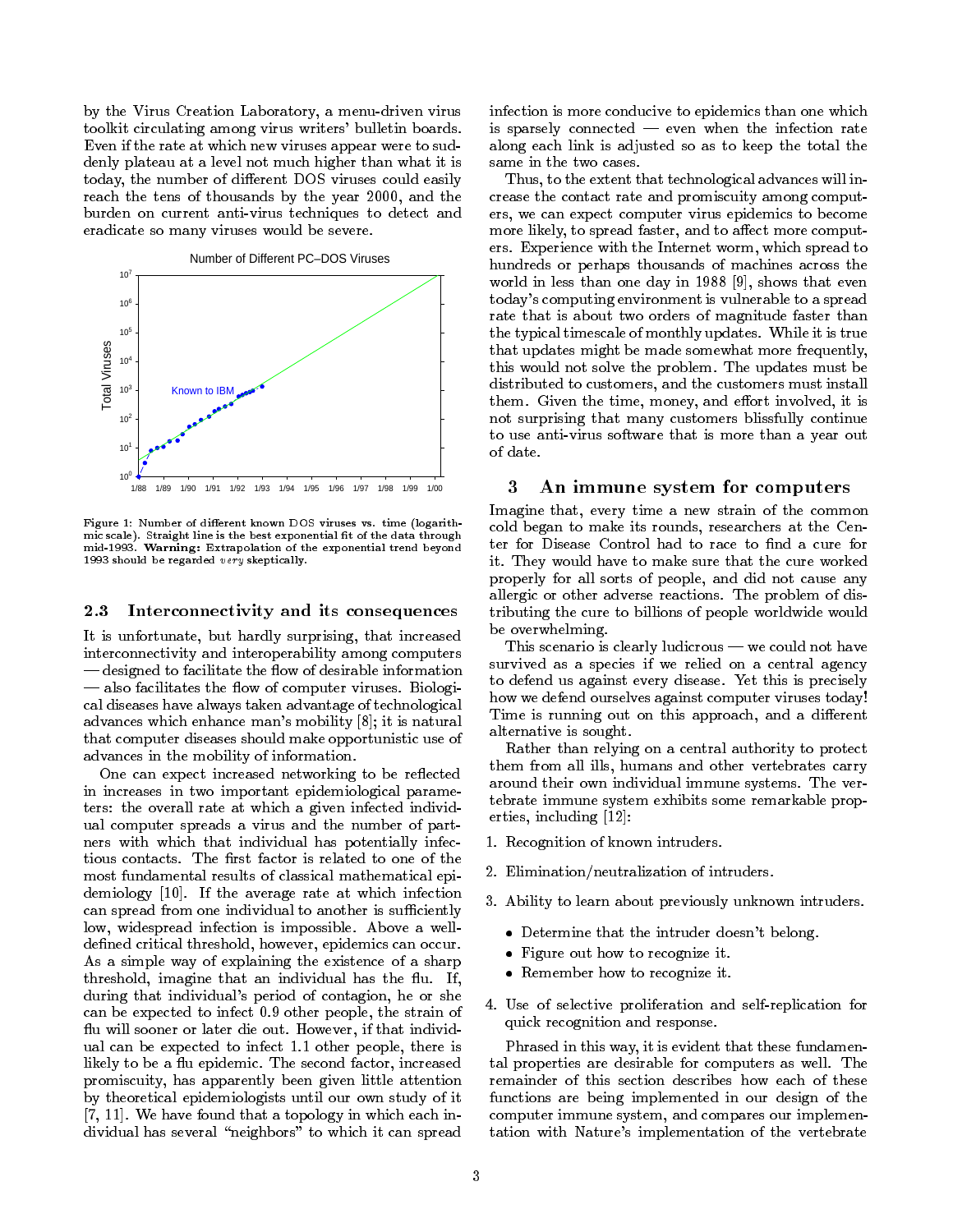by the Virus Creation Laboratory- a menudriven virus toolkit circulating among virus writers' bulletin boards. Even if the rate at which new viruses appear were to sud denly plateau at a level not much higher than what it is today-dierent DoS viruses could easily dierent DOS viruses could easily dierent DOS viruses could easily diere reach the tens of the thousands by the year -title and the t burden on current anti-virus techniques to detect and eradicate so many viruses would be severe



Figure 1: Number of different known DOS viruses vs. time (logarithmic scale). Straight line is the best exponential fit of the data through mid Warning Extrapolation of the exponential trend beyond  $1995$  should be regarded  $\textit{very}$  skeptically.

#### $2.3$ Interconnectivity and its consequences

... but has in the surprising-that increased in the surface of the surface of the surface of the surface of th interconnectivity and interoperability among computers — designed to facilitate the flow of desirable information — also facilitates the flow of computer viruses. Biological diseases have always taken advantage of technological advances which enhances which enhances which enhances which enhances which enhances  $\mathbf{a}$ that computer diseases should make opportunistic use of advances in the mobility of information

One can expect increased networking to be reflected in increases in two important epidemiological parame ters: the overall rate at which a given infected individual computer spreads a virus and the number of part ners with which that individual has potentially infec tious contacts. The first factor is related to one of the most fundamental results of classical mathematical epi added the average rate at which is a serious and the average of  $\mathcal{L}_\mathcal{A}$ can spread from one individual to another is sufficiently low- widespread infection is impossible Aboveawell dened critical threshold- however- epidemics can occur As a simple way of explaining the existence of a sharp threshold, distinguist that an individual distinct and user the during that individuals period of contagion- he or she can be expected to infect our people of the strain of the strain of the strain of the strain of the strain of  $\mathbf{I}$ ual can be expected to infect at the compact people and the likely to be a u epidemic The second factor- increased promiscuity- has apparently been given little attention by theoretical epidemiologists until our own study of it  $\mathbf{u}$  is to the found that a topology in which each individual that a topology in which each individual to  $\mathbf{u}$ dividual has several "neighbors" to which it can spread

infection is more conducive to epidemics than one which is sparsely connected  $-$  even when the infection rate along each link is adjusted so as to keep the total the same in the two cases

Thus- to the extent that technological advances will in crease the contact rate and promiscuity among comput ers- we can expect computer virus epidemics to become more density is aparamented faster-to more computer than  $\mu$  at ers Experience with the Internet worm- which spread to hundreds or perhaps thousands of machines across the world in less than one day in - shows that even today's computing environment is vulnerable to a spread rate that is about two orders of magnitude faster than the typical timescale of monthly updates. While it is true that updates might be made somewhat more frequently, this would not solve the problem. The updates must be and the customers must customers must must be customers them Given the time- money- and eort involved- it is not surprising that many customers blissfully continue to use anti-virus software that is more than a year out of date.

#### An immune system for computers 3

Imagine that-the time a new strain of the common strain of the common strain of the common strain of the common cold began to make its rounds- researchers at the Cen ter for Disease Control had to race to find a cure for it. They would have to make sure that the cure worked properly for all sorts of people- and did not cause any allergic or other adverse reactions. The problem of distributing the cure to billions of people worldwide would be overwhelming

This scenario is clearly ludicrous  $-$  we could not have survived as a species if we relied on a central agency to defend us against every disease Yet this is precisely how we defend ourselves against computer viruses today! Time is running out on this approach- and a dierent alternative is sought

Rather than relying on a central authority to protect them from all individuals carry carry them in the vertebrates carry. around their own individual immune systems. The vertebrate immune system exhibits some remarkable prop erties- including the contract of the contract of the contract of the contract of the contract of the contract of the contract of the contract of the contract of the contract of the contract of the contract of the contract

- 1. Recognition of known intruders.
- 2. Elimination/neutralization of intruders.
- 3. Ability to learn about previously unknown intruders.
	- Determine that the intruder doesn't belong.
	- Figure out how to recognize it.
	- Remember how to recognize it
- 4. Use of selective proliferation and self-replication for quick recognition and response

- it is the these final that the these fundamental theoretical contributions of the second theoretical contributions tal properties are desirable for computers as well. The remainder of this section describes how each of these functions are being implemented in our design of the computer in the compares of the compares of the compares of the compares of the compares of the compares of the tation with Nature's implementation of the vertebrate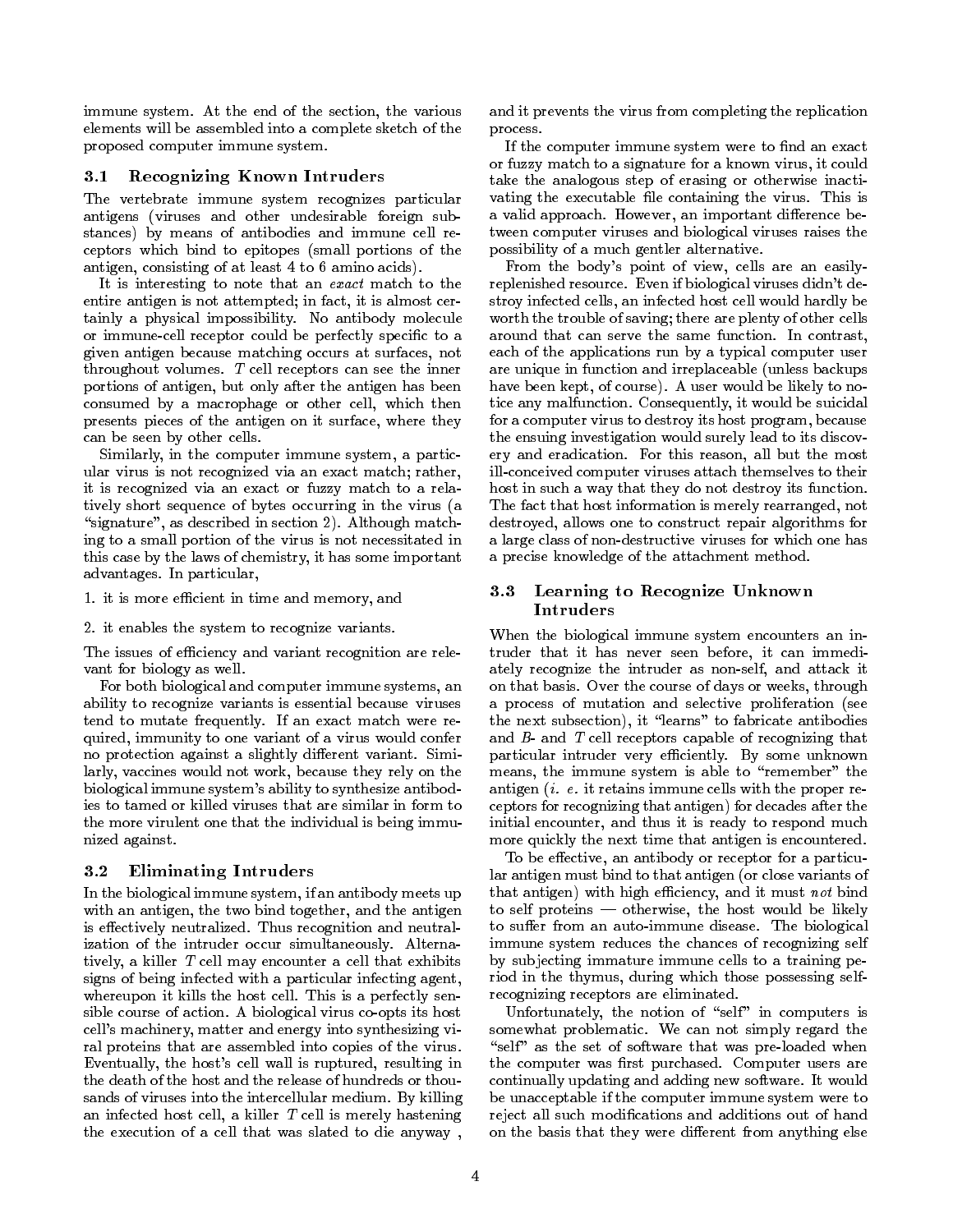immune system At the end of the section- the various elements will be assembled into a complete sketch of the proposed computer immune system

#### $3.1$ Recognizing Known Intruders

The vertebrate immune system recognizes particular antigens (viruses and other undesirable foreign substances) by means of antibodies and immune cell receptors which bind to epitopes (small portions of the antigen, consisting to at least 2 to a minor action,

It is interesting to note that an exact match to the entire antique is not attempted in fact, it is almost certain tainly a physical impossibility. No antibody molecule or immune-cell receptor could be perfectly specific to a given antigur colonic matching occurs at surfaces, not throughout volumes.  $T$  cell receptors can see the inner portions of antigen- but only after the antigen has been consumed by a matrix of the matrix of the cell-by a matrix of the cell-by a matrix of the cell-by a matrix of the presents pieces of the antigen on it surface- where they can be seen by other cells

similarly-the computer in the computer system, a particle ular virus is not recognized via an exact match; rather, it is recognized via an exact or fuzzy match to a rela tively short sequence of bytes occurring in the virus 
a signature- In section in section approached in section  $\mathcal{A}$ ing to a small portion of the virus is not necessitated in this case by the laws of chemistry- it has some important advantages. In particular,

it is more extended in time and memory-memory-memory-memory-memory-memory-memory-memory-memory-memory-memory-m

### 2. it enables the system to recognize variants.

The issues of efficiency and variant recognition are relevant for biology as well

For both biological and computer immune systems- an ability to recognize variants is essential because viruses tend to mutate frequently. If an exact match were required- immunity to one the virus would confer a virus would confer no protection against a slightly different variant. Similarly- vaccines would not work- because they rely on the biological immune system's ability to synthesize antibodies to tamed or killed viruses that are similar in form to the more virulent one that the individual is being immu nized against

#### $3.2$ Eliminating Intruders

in the biological immunes system-parameters in the antibody meets up with an antigury the two tensor the anti-property and the antigury is effectively neutralized. Thus recognition and neutralization of the intruder occur simultaneously. Alternatively-discrete a cell may encounter a cell may encounter a cell that exhibits a cell that exhibits a cell tha signs of being infected with a particular infecting agent, whereupon it kills the host cell. This is a perfectly sensible course of action. A biological virus co-opts its host cells matter and energy into synthesizing views into synthesizing views and energy into synthesizing views in ral proteins that are assembled into copies of the virus. Eventually- the hosts cell wall is ruptured- resulting in the death of the host and the release of hundreds or thou sands of viruses into the intercellular medium. By killing an infected host cell- a killer T cell is merely hastening the execution of a cell that was slated to die anyway,

and it prevents the virus from completing the replication process

If the computer immune system were to find an exact or fuzzy match to a signature for a known virus- it could take the analogous step of erasing or otherwise inacti vating the executable file containing the virus. This is a valid approach However- an important dierence be tween computer viruses and biological viruses raises the possibility of a much gentler alternative

From the bodys point of view- cells are an easily replenished resource. Even if biological viruses didn't destroy infected cells- an infected host cell would hardly be worth the trouble of saving; there are plenty of other cells around that can serve the same function. In contrast, each of the applications run by a typical computer user are unique in function and irreplaceable (unless backups have been kept- of course A user would be likely to no tice any malfunction Consequently- it would be suicidal for a computer virus to destroy its host program- because the ensuing investigation would surely lead to its discov ery and eradication For this reason- all but the most ill-conceived computer viruses attach themselves to their host in such a way that they do not destroy its function. The fact that host information is merely rearranged- not destroyed-to construct repair allows one to construct repair algorithms for the construction of the construction of the construction of the construction of the construction of the construction of the construction of the co a large class of non-destructive viruses for which one has a precise knowledge of the attachment method

#### $3.3$  Learning to Recognize Unknown Intruders

When the biological immune system encounters an in truder that it has never seen before- it has never seen before- it has never seen before- it can immediate the atta<sub>ck</sub> recognize the introduction as nonself-and attack it on that basis Over the course of days or weeks-basis Over the course of days or weeksa process of mutation and selective proliferation (see the next subsection- it learns to fabricate antibodies and  $B$ - and  $T$  cell receptors capable of recognizing that particular intruder very efficiently. By some unknown means- the immune system is able to remember the antigen 
i- e- it retains immune cells with the proper re ceptors for recognizing that antigen) for decades after the initial encounter, which change it is ready to respond much and more quickly the next time that antigen is encountered.

To be eective- an antibody or receptor for a particu lar antigen must bind to that antigen (or close variants of that antigury with high theiring  $\eta$  and it must not binds to self proteins  $\mathbf{r}$  be likely words would be likely would be likely would be likely would be likely would be likely would be likely would be likely would be likely would be likely would be likely would be likely wou to suffer from an auto-immune disease. The biological immune system reduces the chances of recognizing self by subjecting immature immune cells to a training pe riod in the thymus- during which those possessing self recognizing receptors are eliminated

United the notion of self-in computers is the notion of self-in computers in computers is the notion of self-in somewhat problematic. We can not simply regard the "self" as the set of software that was pre-loaded when the computer was first purchased. Computer users are continually updating and adding new software. It would be unacceptable if the computer immune system were to reject all such modifications and additions out of hand on the basis that they were different from anything else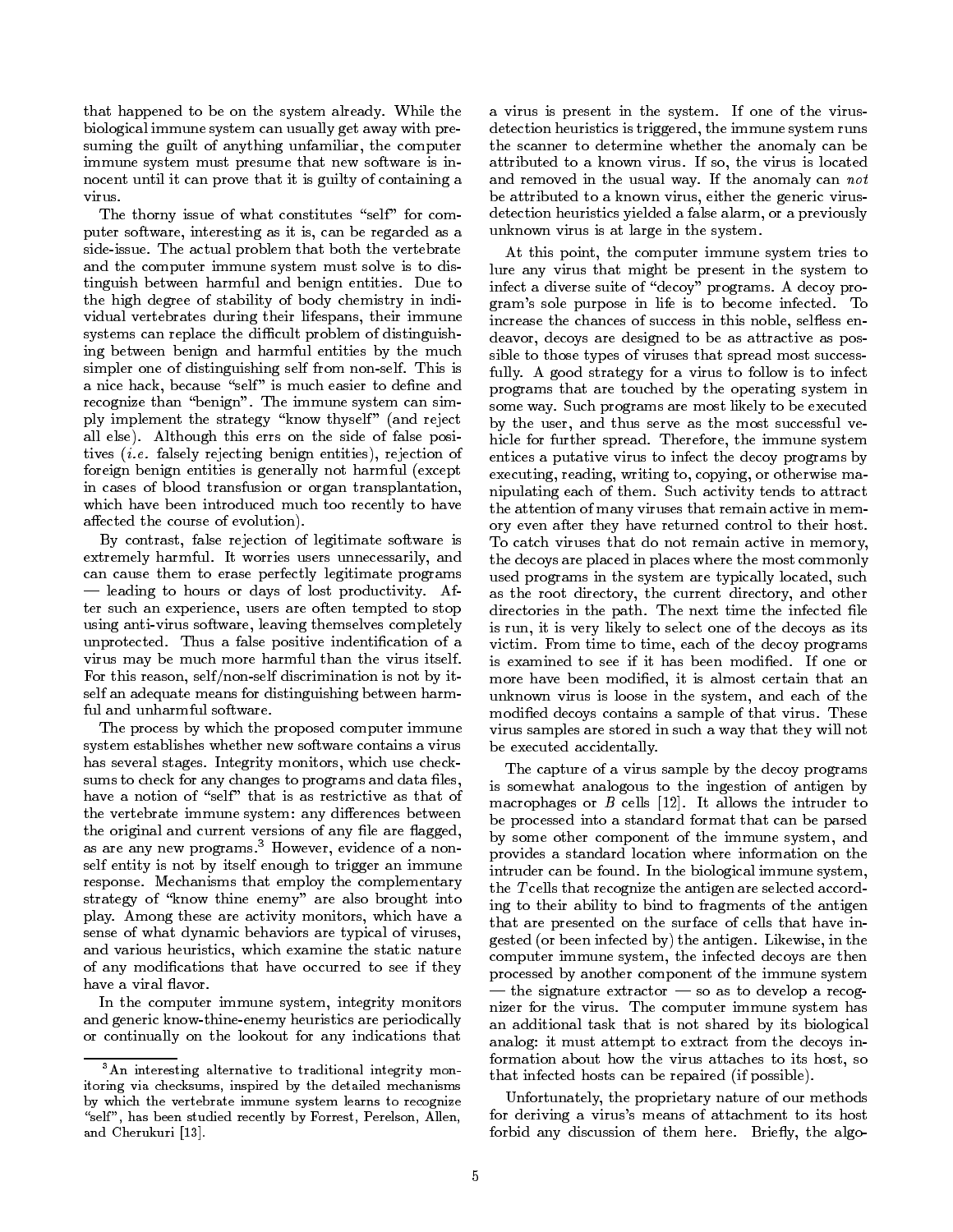that happened to be on the system already. While the biological immune system can usually get away with pre suming the guilt of anything unfamiliar- the computer immune system must presume that new software is in nocent until it can prove that it is guilty of containing a virus

The thorny issue of what constitutes "self" for computer so it is seen as it is not in the sequence as a can be regarded as a canonical control of the control of side-issue. The actual problem that both the vertebrate and the computer immune system must solve is to dis tinguish between harmful and benign entities. Due to the high degree of stability of body chemistry in indi vidual vertebrates during their lifespans- their immune systems can replace the difficult problem of distinguishing between benign and harmful entities by the much simpler one of distinguishing self from non-self. This is a nice much is contact to dene and contact is much to dene and recognize than "benign". The immune system can simply implement the strategy "know thyself" (and reject all else). Although this errs on the side of false positives 
i-e- falsely rejecting benign entities- rejection of foreign benign entities is generally not harmful (except in cases of blood transfusion or organ transplantation, which have been introduced much too recently to have affected the course of evolution).

By contrast- false rejection of legitimate software is extremely harmful It worries users under the state users under the state of the state users under the state of can cause them to erase perfectly legitimate programs - leading to hours or days of lost productivity. After such an experience users are extended to stop to stop the stop using antivirus software- leaving themselves completely unprotected. Thus a false positive indentification of a virus may be much more harmful than the virus itself For this reason- selfnonself discrimination is not by it self an adequate means for distinguishing between harm ful and unharmful software

The process by which the proposed computer immune system establishes whether new software contains a virus has several stages Integrity monitors- which use check sums to check for any changes to programs and data files, have a notion of "self" that is as restrictive as that of the vertebrate immune system: any differences between the original and current versions of any file are flagged, as are any new programs. However, evidence of a nonself entity is not by itself enough to trigger an immune response. Mechanisms that employ the complementary strategy of "know thine enemy" are also brought into play among these are activity motions-and which have a  $\sim$ sense of what dynamic behaviors are typical of viruses, and various heuristics-which examine the static nature that the static nature the static nature that the static of any modifications that have occurred to see if they have a viral flavor.

In the computer immune system- integrity monitors and generic know-thine-enemy heuristics are periodically or continually on the lookout for any indications that

a virus is present in the system. If one of the virusadded the immunes is triggered, the immune system runs the scanner to determine whether the anomaly can be attributed to a morting theory is the virus in a strategy of and removed in the usual way. If the anomaly can  $not$ be attributed to a known virus- either the generic virus detection heuristics yielded a false alarm- or a previously unknown virus is at large in the system

At this point- the computer immune system tries to lure any virus that might be present in the system to infect a diverse suite of "decoy" programs. A decoy program's sole purpose in life is to become infected. To increase the chances of success in this noble- seless en deavor- decoys are designed to be as attractive as pos sible to those types of viruses that spread most success fully. A good strategy for a virus to follow is to infect programs that are touched by the operating system in some way. Such programs are most likely to be executed by the user- and thus serve as the most successful ve hicle for further spread Therefore- the immune system entices a putative virus to infect the decoy programs by executing- reading- writing to- copying- or otherwise ma nipulating each of them. Such activity tends to attract the attention of many viruses that remain active in mem ory even after they have returned control to their host To catch viruses that do not remain active in memory, the decoys are placed in places where the most commonly used programs in the system are typically located-typically located-typically locatedas the current directory-construction and other directorydirectories in the path. The next time the infected file is run- it is very likely to select one of the decoys as its victim from time- to time- to time- the decoy programs. is examined to see if it has been modified. If one or more have been modied- it is almost certain that an unknown virus is loose in the system-definition of the system-definition of the system-definition of the systemmodified decoys contains a sample of that virus. These virus samples are stored in such a way that they will not be executed accidentally

The capture of a virus sample by the decoy programs is somewhat analogous to the ingestion of antigen by macrophages or B cells It allows the intruder to be processed into a standard format that can be parsed by some other component of the immune system- and provides a standard location where information on the intruder can be found. In the biological immune system, the T cells that recognize the antigen are selected accord ing to their ability to bind to fragments of the antigen that are presented on the surface of cells that have in gested 
or been infected by the antigen Likewise- in the computer in the infected decoys are the infected decoys are the infected decoys are the infected decoys are the processed by another component of the immune system  $-$  the signature extractor  $-$  so as to develop a recognizer for the virus. The computer immune system has an additional task that is not shared by its biological analog: it must attempt to extract from the decoys information about how the virus attaches to its host- so that infected hosts can be repaired (if possible).

value the proprietary nature of our methods and for deriving a virus's means of attachment to its host forbid any discussion of them here Briey- the algo

<sup>&</sup>lt;sup>3</sup>An interesting alternative to traditional integrity monitoring via checksums, inspired by the detailed mechanisms by which the vertebrate immune system learns to recognize self- has been studied recently by Forrest Perelson Allen and Cherukuri [13].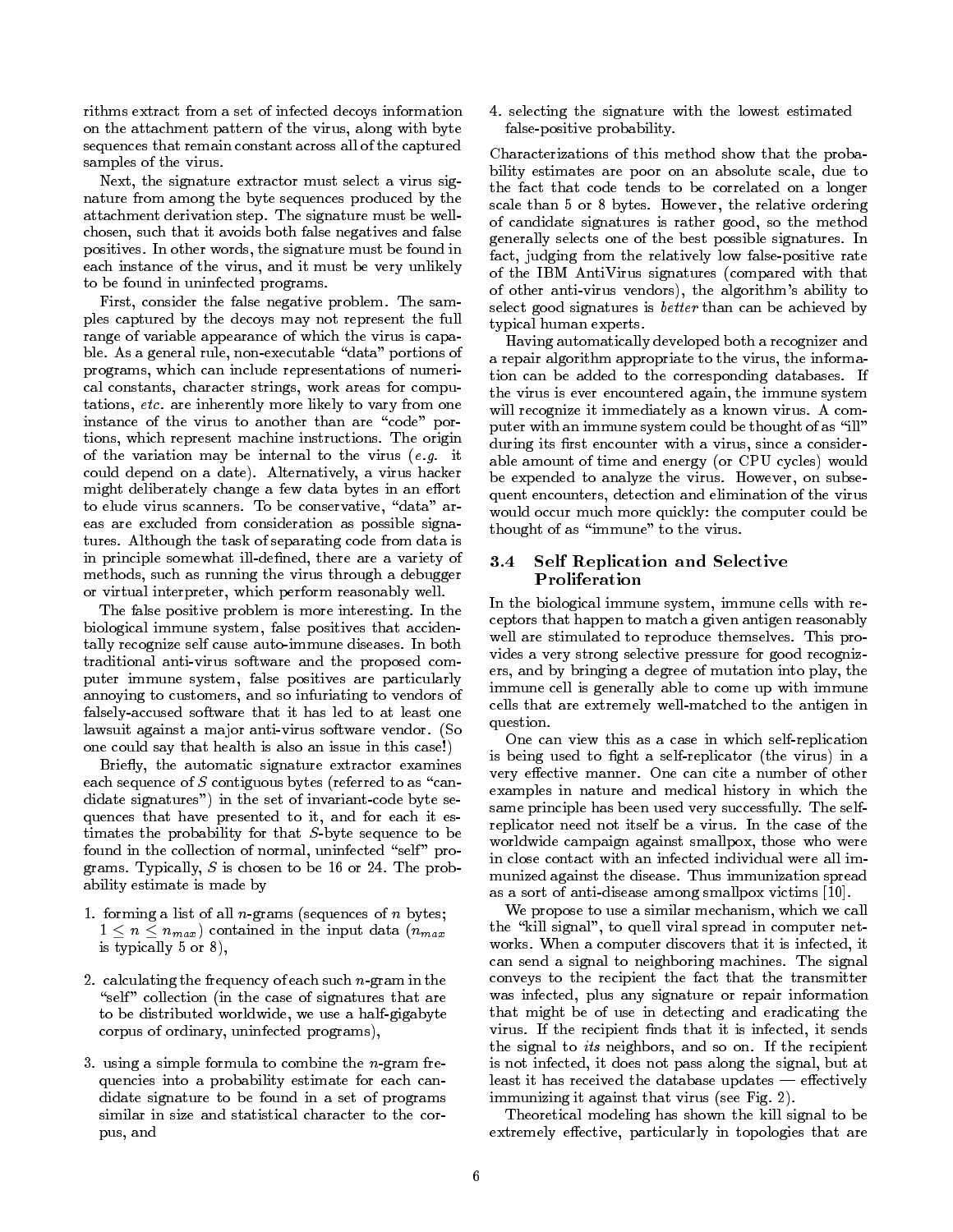rithms extract from a set of infected decoys information the the attachment pattern of the virus- disting with byte sequences that remain constant across all of the captured samples of the virus

Next- the signature extractor must select a virus sig nature from among the byte sequences produced by the attachment derivation step. The signature must be wellchosen-both false negatives and false negatives and false negatives and false negatives and false negatives an positives in other words, the signature must be signature. each instance of the virus- and it must be very unlikely to be found in uninfected programs

First- consider the false negative problem The sam ples captured by the decoys may not represent the full range of variable appearance of which the virus is capa ble as a general rule corrected and a portions of the portions of programs- which can include representations of numerical can include representations of numerical can include r cal constants- character strings-strings-strings-strings-strings-strings-strings-strings-strings-strings-stringstations-discovered more likely more likely more likely to vary from one of the stationsinstance of the virus to another than are "code" portions- which represent machine instructions The origin of the variation may be internal to the variation may be internal to the virus of the virus of the virus of th could depend on a date Alternatively- a virus hacker might deliberately change a few data bytes in an effort to electronic standard are conservative, and a eas are excluded from consideration as possible signa tures Although the task of separating code from data is in principle somewhat in annotal color as a variety of methods- such as running the virus through a debugger or virtual interpreter- which perform reasonably well

The false positive problem is more interesting. In the biological immune system- false positives that acciden tally recognize self cause auto-immune diseases. In both traditional anti-virus software and the proposed computer immune system- false positives are particularly annoying to christmashy more as infuriously to vendors of falsely-accused software that it has led to at least one lawsuit against a major anti-virus software vendor. (So one could say that health is also an issue in this case

Briey- the automatic signature extractor examines each sequence of S contiguous bytes (referred to as "candidate signatures") in the set of invariant-code byte se- $\blacksquare$  and for each iteration that have presented to it-for each iteration in the second iteration is easily estimated to iteration in the second in the second in the second in the second in the second in the second in th timates the probability for that  $S$ -byte sequence to be found in the collection of normal- uninfected self pro grams Typically- or chosen to be to be problems that  $\sim$ ability estimate is made by

- 1. forming a list of all *n*-grams (sequences of *n* bytes; - <sup>n</sup> - nmax contained in the input data 
nmax is typically  $5$  or  $8$ ),
- 2. calculating the frequency of each such  $n$ -gram in the "self" collection (in the case of signatures that are to be distributed worldwide-distributed worldwide-distributed worldwide-distributed worldwide-distributed worldwidecorpus of ordinary-distribution of the corpus of the corpus of the corpus of the corpus of the corpus of the c
- 3. using a simple formula to combine the *n*-gram frequencies into a probability estimate for each can didate signature to be found in a set of programs similar in size and statistical character to the cor pus-and-pus-and-pus-and-pus-and-pus-

4. selecting the signature with the lowest estimated false-positive probability.

Characterizations of this method show that the proba bility estimates are poor on an absolute scale- due to the fact that code tends to be correlated on a longer stale than the relative model is the stative ordering of candidate signatures is rather good-definition of the method-signature is rather good-signature in the methodgenerally selects one of the best possible signatures. In fact- judging from the relatively low falsepositive rate of the IBM AntiVirus signatures 
compared with that the algorithms ability versions ability to algorithms ability to all antiselect good signatures is *better* than can be achieved by typical human experts

Having automatically developed both a recognizer and a representation and the information of the virus-to-the virus-to-the virus-to-the virus-to-the virus-to-the i tion can be added to the corresponding databases. If the virus is the imaginaries against the immunes system. will recognize it immediately as a known virus. A computer with an immune system could be thought of as "ill" during its rst encounter with a virus-term in the virus-term in the virus-term in the virus-term in the virusable amount of time and energy (or CPU cycles) would be expended to analyze the virus However- on subse quent encounters, acteries and elimination and virus the virus would occur much more quickly: the computer could be thought of as "immune" to the virus.

### $3.4$  Self Replication and Selective Proliferation

in the biological immunes systems, immunes that with the ceptors that happen to match a given antigen reasonably well are stimulated to reproduce themselves. This provides a very strong selective pressure for good recogniz ers-by bringing and by bringing and mutation into playimmune cell is generally able to come up with immune cells that are extremely well-matched to the antigen in question

One can view this as a case in which self-replication is being used to fight a self-replicator (the virus) in a very effective manner. One can cite a number of other examples in nature and medical history in which the same principle has been used very successfully. The selfreplicator need not itself be a virus. In the case of the worldwide campaign against smallpoxy camps who were in close contact with an infected individual were all immunized against the disease. Thus immunization spread as a sort of anti-disease and anti-disease provided a sort of a

which propose to use a similar mechanism-called we call the call the kill signal-to-computer network in computer network in computer network in computer network in computer ne works when a computer discovers that it is infected to can send a signal to neighboring machines. The signal conveys to the recipient the fact that the transmitter was infected plus any signature or repair information that might be of use in detecting and eradicating the virus If the recipient nds that it is infected- it sends the signal to its neighbors-in-the recipient of the recipient of the recipient of the recipient of the recipie is not infected it does not pass along the signal-pass at least it has received the database updates  $-$  effectively immunizing it against that virus (see Fig. 2).

Theoretical modeling has shown the kill signal to be extremely eective- particularly in topologies that are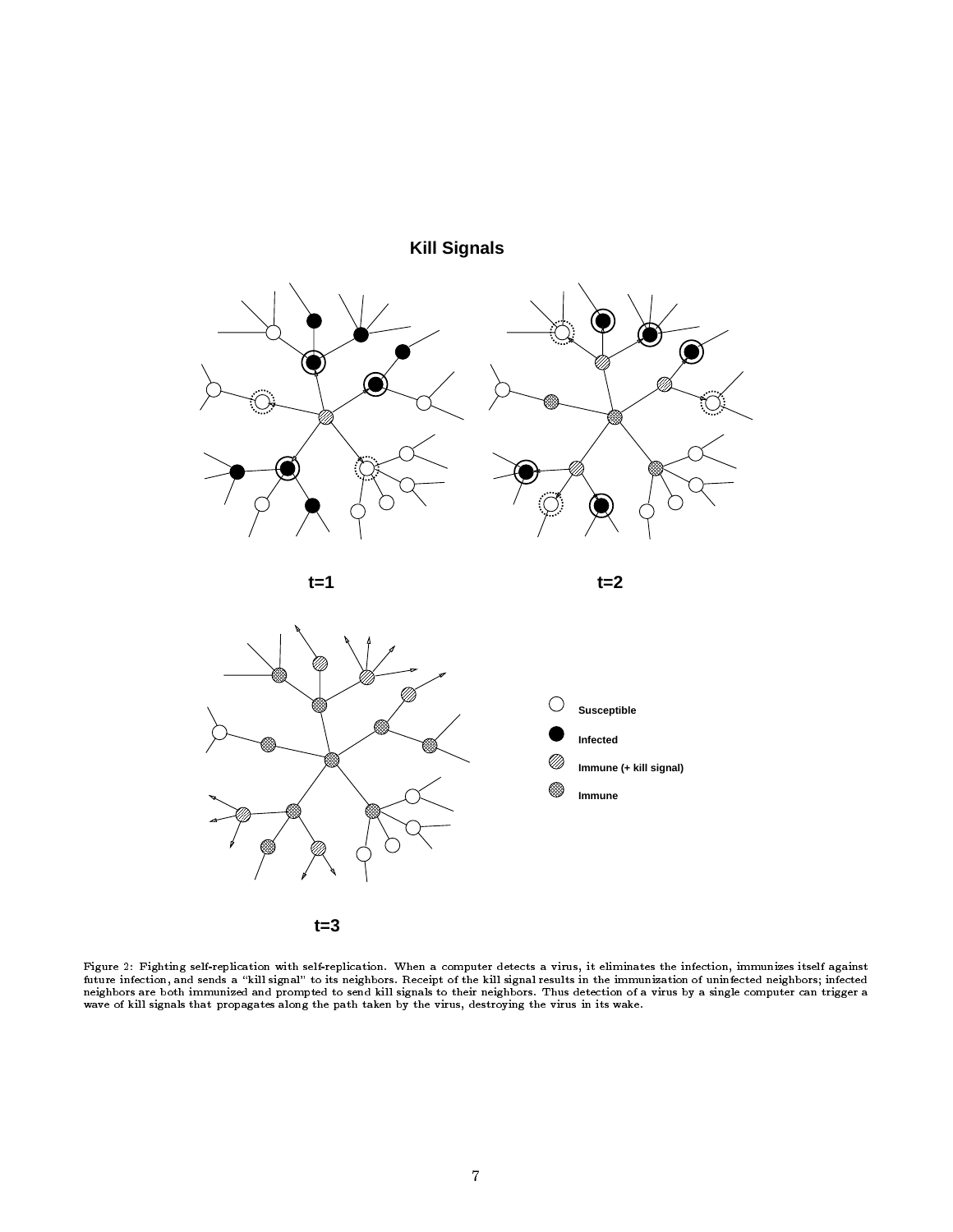

**t=1**

**t=2**



**t=3**

Figure - Fighting selfreplication with selfreplication When a computer detects a virus it eliminates the infection immunizes itself againstnture intection, and sends a "kin signal" to its neighbors. Receipt of the kin signal results in the immunization of uninected neighbors; intected<br>neighbors are both immunized and prompted to send kill signals to their nei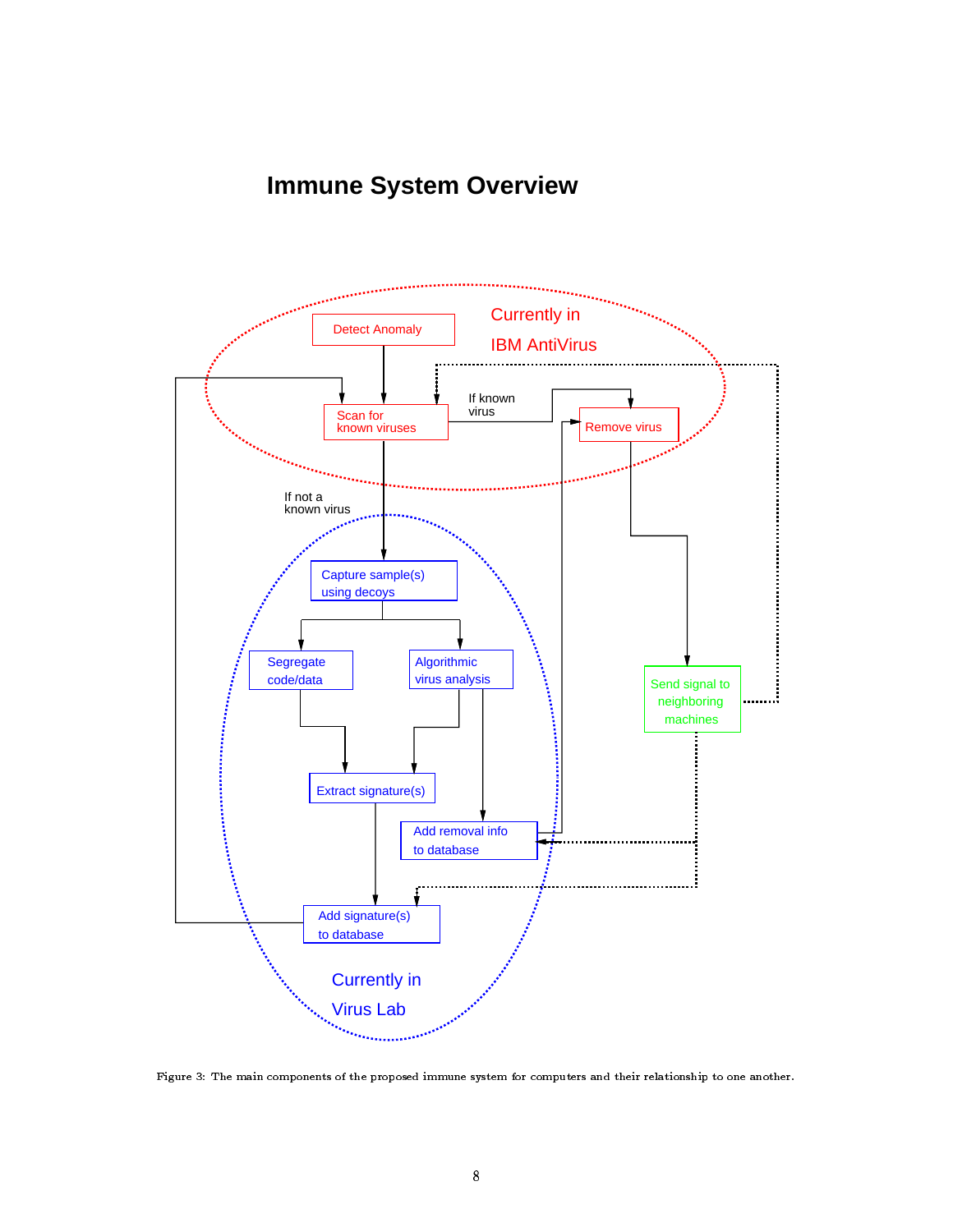# **Immune System Overview**



Figure 3: The main components of the proposed immune system for computers and their relationship to one another.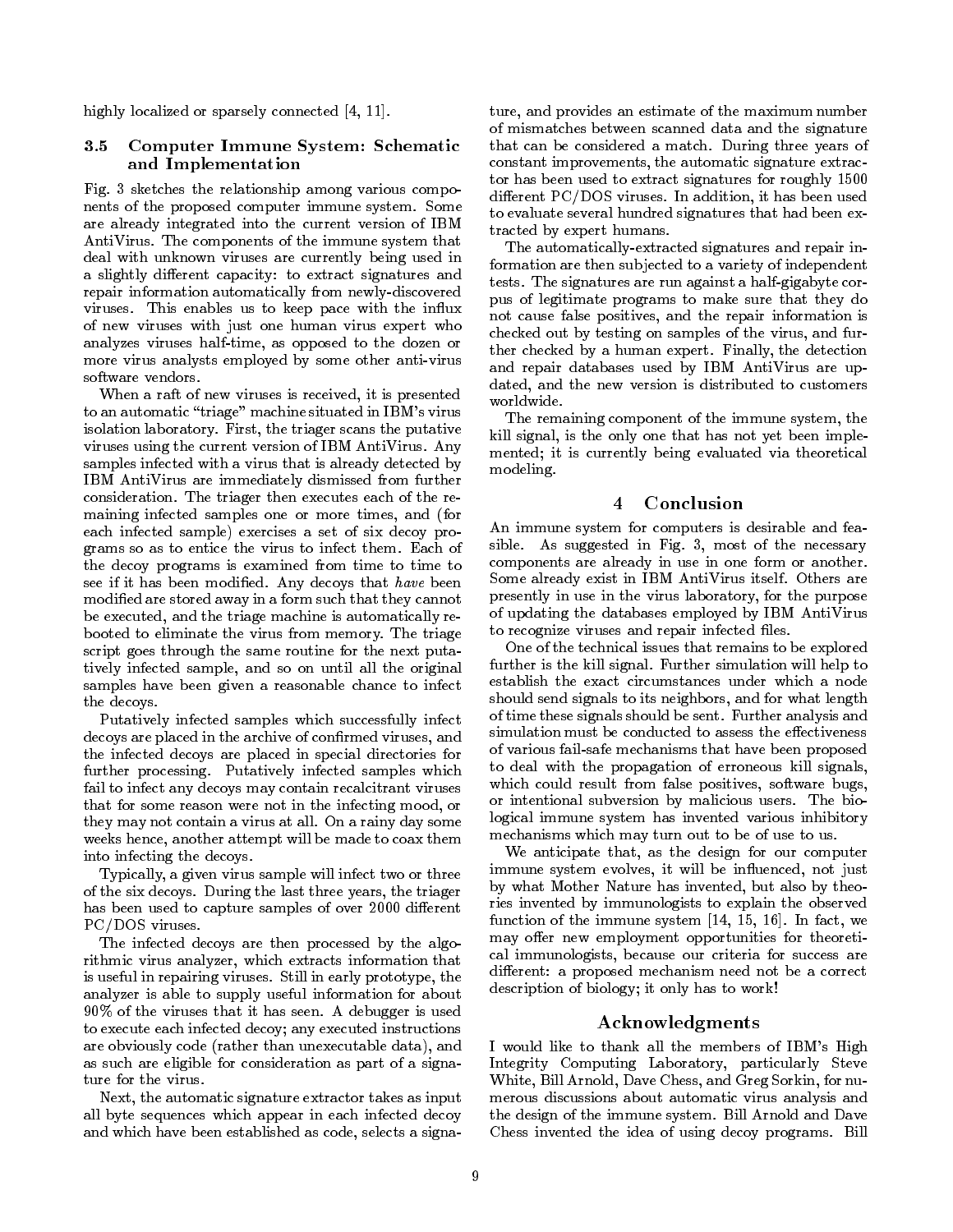highly localized or sparsely connected -

### $3.5$ Computer Immune System: Schematic and Implementation

Fig. 3 sketches the relationship among various components of the proposed computer immune system. Some are already integrated into the current version of IBM AntiVirus. The components of the immune system that deal with unknown viruses are currently being used in a slightly different capacity: to extract signatures and repair information automatically from newly-discovered viruses. This enables us to keep pace with the influx of new viruses with just one human virus expert who as opposed to the dozen or the dozen or the dozen or the dozen or the dozen or the dozen or the dozen or the d more virus analysts employed by some other anti-virus software vendors

when a ratio of new viruses is received-to-the contract of new viruses is received-to-the contract of  $\mathbf{r}_i$ to an automatic "triage" machine situated in IBM's virus isolation laboratory First- the triager scans the putative viruses using the current version of IBM AntiVirus Any samples infected with a virus that is already detected by IBM AntiVirus are immediately dismissed from further consideration. The triager then executes each of the remaining infected samples one or more times- and 
for each infected sample) exercises a set of six decoy programs so as to entice the virus to infect them Each of the decoy programs is examined from time to time to see if it has been modified. Any decoys that have been modified are stored away in a form such that they cannot be executed- and the triage machine is automatically re booted to eliminate the virus from memory. The triage script goes through the same routine for the next puta tively infected sample- and so on until all the original samples have been given a reasonable chance to infect the decoys

Putatively infected samples which successfully infect are given and placed in the archive of consideration of contrag and a the infected decoys are placed in special directories for further processing. Putatively infected samples which fail to infect any decoys may contain recalcitrant viruses that for some reason were not in the infection  $\eta$  and infecting the infection of  $\eta$ they may not contain a virus at all. On a rainy day some weeks hence-to-be made to coax them at the made to coax them at the made to coax them at the made to coax them into infecting the decoys

Typically- a given virus sample will infect two or three the the six decoy of the six decoys three years-years-three yearshas been used to capture samples of over 2000 different PC/DOS viruses.

The infected decoys are then processed by the algo rithmic virus analyzer- which extracts information that is useful in repairing viruses Still in early prototype- the analyzer is able to supply useful information for about  $90\%$  of the viruses that it has seen. A debugger is used to execute each infected decoy; any executed instructions are obviously code 
rather than unexecutable data- and as such are eligible for consideration as part of a signa ture for the virus

Next- the automatic signature extractor takes as input all byte sequences which appear in each infected decoy and which have been established as code-relations a signal

ture- and provides an estimate of the maximum number of mismatches between scanned data and the signature that can be considered a match. During three years of constant improvements- the automatic signature extrac tor has been used to extract signatures for roughly addition- it has been used in addition- it has been used used in a second local contract of the second contract to evaluate several hundred signatures that had been ex tracted by expert humans

The automatically-extracted signatures and repair information are then subjected to a variety of independent tests. The signatures are run against a half-gigabyte corpus of legitimate programs to make sure that they do not cause false positives-dependent positiveschecked out by testing on samples of the virus- and further ther checked by a manufacture finally-controlled finally-controlled to the detection of  $\mathcal{L}_\mathcal{A}$ and repair databases used by IBM AntiVirus are up and the new version is distributed to customers and the contract of the second state of the second state of th

The remaining component of the immune system- the kill signal-biological-biological-biological-biological-biological-biological-biological-biological-biologicalmented; it is currently being evaluated via theoretical modeling

#### Conclusion 4

An immune system for computers is desirable and fea sible as suggested in Fig. () interest in the necessary components are already in use in one form or another Some already exist in IBM AntiVirus itself. Others are presently in use in the virus laboratory- for the purpose of updating the databases employed by IBM AntiVirus to recognize viruses and repair infected files.

One of the technical issues that remains to be explored further is the kill signal. Further simulation will help to establish the exact circumstances under which a node show as a signals to its neighbors, and for what length of time these signals should be sent. Further analysis and simulation must be conducted to assess the effectiveness of various fail-safe mechanisms that have been proposed to deal with the propagation of erroneous kill signalswhich could result from false positives, result from false or intentional subversion by malicious users. The biological immune system has invented various inhibitory mechanisms which may turn out to be of use to us

where a neutralized for our computer that  $\mathbf{u}$ immune system evolves- it will be inuenced- not just by what distinct also be invented and interesting the side of  $\mu$  theory. ries invented by immunologists to explain the observed function of the immune system - - In fact- we may offer new employment opportunities for theoretical immunologists- because our criteria for success are different: a proposed mechanism need not be a correct description of biology; it only has to work!

### Acknowledgments

I would like to thank all the members of IBM's High Integrity Computing Laboratory- particularly Steve white-definition and Greg Sortization and Greg Sortization and Greg Sortization and Greg Sortization and Greg Sortization and Greg Sortization and Greg Sortization and Greg Sortization and Greg Sortization and Greg Sortiza merous discussions about automatic virus analysis and the design of the immune system. Bill Arnold and Dave Chess invented the idea of using decoy programs. Bill